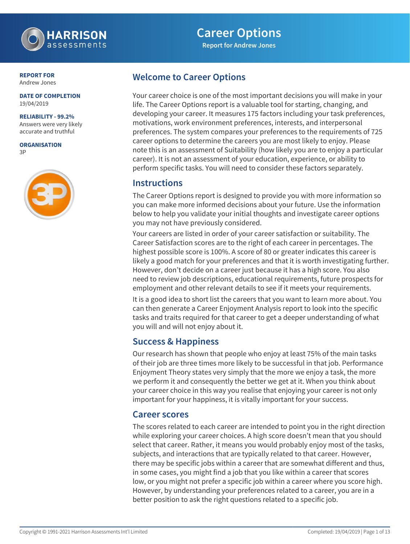

# **Career Options**

**Report for Andrew Jones**

### **REPORT FOR** Andrew Jones

#### **DATE OF COMPLETION** 19/04/2019

### **RELIABILITY - 99.2%**

Answers were very likely accurate and truthful

**ORGANISATION** 3P



## **Welcome to Career Options**

Your career choice is one of the most important decisions you will make in your life. The Career Options report is a valuable tool for starting, changing, and developing your career. It measures 175 factors including your task preferences, motivations, work environment preferences, interests, and interpersonal preferences. The system compares your preferences to the requirements of 725 career options to determine the careers you are most likely to enjoy. Please note this is an assessment of Suitability (how likely you are to enjoy a particular career). It is not an assessment of your education, experience, or ability to perform specific tasks. You will need to consider these factors separately.

### **Instructions**

The Career Options report is designed to provide you with more information so you can make more informed decisions about your future. Use the information below to help you validate your initial thoughts and investigate career options you may not have previously considered.

Your careers are listed in order of your career satisfaction or suitability. The Career Satisfaction scores are to the right of each career in percentages. The highest possible score is 100%. A score of 80 or greater indicates this career is likely a good match for your preferences and that it is worth investigating further. However, don't decide on a career just because it has a high score. You also need to review job descriptions, educational requirements, future prospects for employment and other relevant details to see if it meets your requirements.

It is a good idea to short list the careers that you want to learn more about. You can then generate a Career Enjoyment Analysis report to look into the specific tasks and traits required for that career to get a deeper understanding of what you will and will not enjoy about it.

## **Success & Happiness**

Our research has shown that people who enjoy at least 75% of the main tasks of their job are three times more likely to be successful in that job. Performance Enjoyment Theory states very simply that the more we enjoy a task, the more we perform it and consequently the better we get at it. When you think about your career choice in this way you realise that enjoying your career is not only important for your happiness, it is vitally important for your success.

### **Career scores**

The scores related to each career are intended to point you in the right direction while exploring your career choices. A high score doesn't mean that you should select that career. Rather, it means you would probably enjoy most of the tasks, subjects, and interactions that are typically related to that career. However, there may be specific jobs within a career that are somewhat different and thus, in some cases, you might find a job that you like within a career that scores low, or you might not prefer a specific job within a career where you score high. However, by understanding your preferences related to a career, you are in a better position to ask the right questions related to a specific job.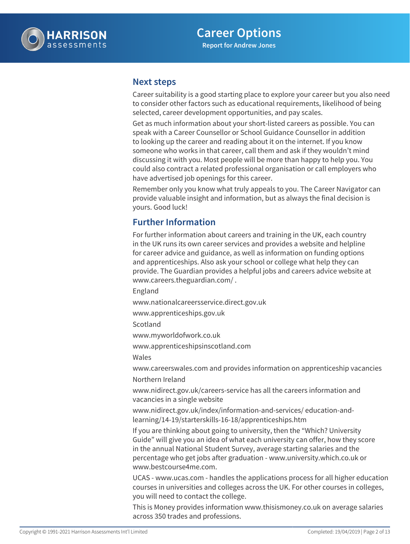

### **Next steps**

Career suitability is a good starting place to explore your career but you also need to consider other factors such as educational requirements, likelihood of being selected, career development opportunities, and pay scales.

Get as much information about your short-listed careers as possible. You can speak with a Career Counsellor or School Guidance Counsellor in addition to looking up the career and reading about it on the internet. If you know someone who works in that career, call them and ask if they wouldn't mind discussing it with you. Most people will be more than happy to help you. You could also contract a related professional organisation or call employers who have advertised job openings for this career.

Remember only you know what truly appeals to you. The Career Navigator can provide valuable insight and information, but as always the final decision is yours. Good luck!

## **Further Information**

For further information about careers and training in the UK, each country in the UK runs its own career services and provides a website and helpline for career advice and guidance, as well as information on funding options and apprenticeships. Also ask your school or college what help they can provide. The Guardian provides a helpful jobs and careers advice website at www.careers.theguardian.com/ .

England

www.nationalcareersservice.direct.gov.uk

www.apprenticeships.gov.uk

Scotland

www.myworldofwork.co.uk

www.apprenticeshipsinscotland.com

Wales

www.careerswales.com and provides information on apprenticeship vacancies

Northern Ireland

www.nidirect.gov.uk/careers-service has all the careers information and vacancies in a single website

www.nidirect.gov.uk/index/information-and-services/ education-andlearning/14-19/starterskills-16-18/apprenticeships.htm

If you are thinking about going to university, then the "Which? University Guide" will give you an idea of what each university can offer, how they score in the annual National Student Survey, average starting salaries and the percentage who get jobs after graduation - www.university.which.co.uk or www.bestcourse4me.com.

UCAS - www.ucas.com - handles the applications process for all higher education courses in universities and colleges across the UK. For other courses in colleges, you will need to contact the college.

This is Money provides information www.thisismoney.co.uk on average salaries across 350 trades and professions.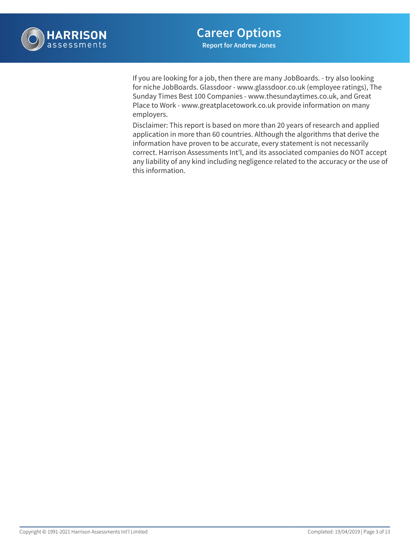

If you are looking for a job, then there are many JobBoards. - try also looking for niche JobBoards. Glassdoor - www.glassdoor.co.uk (employee ratings), The Sunday Times Best 100 Companies - www.thesundaytimes.co.uk, and Great Place to Work - www.greatplacetowork.co.uk provide information on many employers.

Disclaimer: This report is based on more than 20 years of research and applied application in more than 60 countries. Although the algorithms that derive the information have proven to be accurate, every statement is not necessarily correct. Harrison Assessments Int'l, and its associated companies do NOT accept any liability of any kind including negligence related to the accuracy or the use of this information.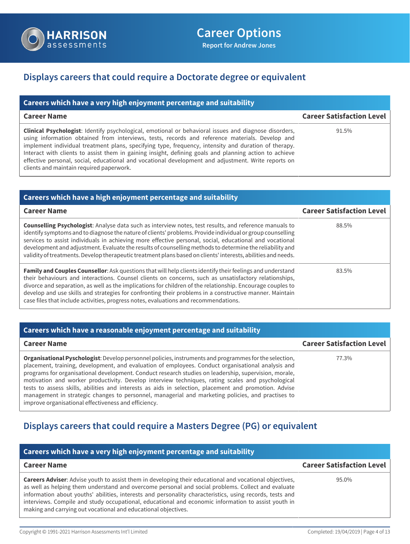

## **Displays careers that could require a Doctorate degree or equivalent**

| Careers which have a very high enjoyment percentage and suitability                                                                                                                                                                                                                                                                                                                                                                                                                                                                                                           |                                  |
|-------------------------------------------------------------------------------------------------------------------------------------------------------------------------------------------------------------------------------------------------------------------------------------------------------------------------------------------------------------------------------------------------------------------------------------------------------------------------------------------------------------------------------------------------------------------------------|----------------------------------|
| <b>Career Name</b>                                                                                                                                                                                                                                                                                                                                                                                                                                                                                                                                                            | <b>Career Satisfaction Level</b> |
| Clinical Psychologist: Identify psychological, emotional or behavioral issues and diagnose disorders,<br>using information obtained from interviews, tests, records and reference materials. Develop and<br>implement individual treatment plans, specifying type, frequency, intensity and duration of therapy.<br>Interact with clients to assist them in gaining insight, defining goals and planning action to achieve<br>effective personal, social, educational and vocational development and adjustment. Write reports on<br>clients and maintain required paperwork. | 91.5%                            |

| <b>Careers which have a high enjoyment percentage and suitability</b>                                                                                                                                                                                                                                                                                                                                                                                                                                                                                               |                                  |
|---------------------------------------------------------------------------------------------------------------------------------------------------------------------------------------------------------------------------------------------------------------------------------------------------------------------------------------------------------------------------------------------------------------------------------------------------------------------------------------------------------------------------------------------------------------------|----------------------------------|
| <b>Career Name</b>                                                                                                                                                                                                                                                                                                                                                                                                                                                                                                                                                  | <b>Career Satisfaction Level</b> |
| <b>Counselling Psychologist:</b> Analyse data such as interview notes, test results, and reference manuals to<br>identify symptoms and to diagnose the nature of clients' problems. Provide individual or group counselling<br>services to assist individuals in achieving more effective personal, social, educational and vocational<br>development and adjustment. Evaluate the results of counselling methods to determine the reliability and<br>validity of treatments. Develop therapeutic treatment plans based on clients' interests, abilities and needs. | 88.5%                            |
| Family and Couples Counsellor: Ask questions that will help clients identify their feelings and understand<br>their behaviours and interactions. Counsel clients on concerns, such as unsatisfactory relationships,<br>divorce and separation, as well as the implications for children of the relationship. Encourage couples to<br>develop and use skills and strategies for confronting their problems in a constructive manner. Maintain<br>case files that include activities, progress notes, evaluations and recommendations.                                | 83.5%                            |

### **Careers which have a reasonable enjoyment percentage and suitability Career Name Career Satisfaction Level Organisational Pyschologist**: Develop personnel policies, instruments and programmes for the selection, placement, training, development, and evaluation of employees. Conduct organisational analysis and programs for organisational development. Conduct research studies on leadership, supervision, morale, motivation and worker productivity. Develop interview techniques, rating scales and psychological tests to assess skills, abilities and interests as aids in selection, placement and promotion. Advise management in strategic changes to personnel, managerial and marketing policies, and practises to improve organisational effectiveness and efficiency. 77.3%

## **Displays careers that could require a Masters Degree (PG) or equivalent**

| Careers which have a very high enjoyment percentage and suitability                                                                                                                                                                                                                                                                                                                                                                                                                                       |                                  |
|-----------------------------------------------------------------------------------------------------------------------------------------------------------------------------------------------------------------------------------------------------------------------------------------------------------------------------------------------------------------------------------------------------------------------------------------------------------------------------------------------------------|----------------------------------|
| <b>Career Name</b>                                                                                                                                                                                                                                                                                                                                                                                                                                                                                        | <b>Career Satisfaction Level</b> |
| <b>Careers Adviser:</b> Advise youth to assist them in developing their educational and vocational objectives,<br>as well as helping them understand and overcome personal and social problems. Collect and evaluate<br>information about youths' abilities, interests and personality characteristics, using records, tests and<br>interviews. Compile and study occupational, educational and economic information to assist youth in<br>making and carrying out vocational and educational objectives. | 95.0%                            |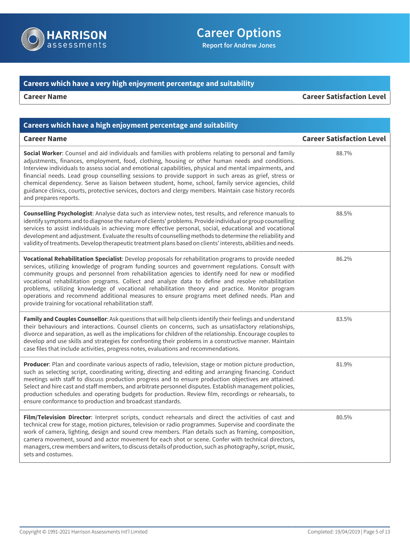

# **Career Options**

**Report for Andrew Jones**

## **Careers which have a very high enjoyment percentage and suitability**

**Career Name Career Satisfaction Level**

| Careers which have a high enjoyment percentage and suitability                                                                                                                                                                                                                                                                                                                                                                                                                                                                                                                                                                                                                  |                                  |
|---------------------------------------------------------------------------------------------------------------------------------------------------------------------------------------------------------------------------------------------------------------------------------------------------------------------------------------------------------------------------------------------------------------------------------------------------------------------------------------------------------------------------------------------------------------------------------------------------------------------------------------------------------------------------------|----------------------------------|
| <b>Career Name</b>                                                                                                                                                                                                                                                                                                                                                                                                                                                                                                                                                                                                                                                              | <b>Career Satisfaction Level</b> |
| Social Worker: Counsel and aid individuals and families with problems relating to personal and family<br>adjustments, finances, employment, food, clothing, housing or other human needs and conditions.<br>Interview individuals to assess social and emotional capabilities, physical and mental impairments, and<br>financial needs. Lead group counselling sessions to provide support in such areas as grief, stress or<br>chemical dependency. Serve as liaison between student, home, school, family service agencies, child<br>guidance clinics, courts, protective services, doctors and clergy members. Maintain case history records<br>and prepares reports.        | 88.7%                            |
| Counselling Psychologist: Analyse data such as interview notes, test results, and reference manuals to<br>identify symptoms and to diagnose the nature of clients' problems. Provide individual or group counselling<br>services to assist individuals in achieving more effective personal, social, educational and vocational<br>development and adjustment. Evaluate the results of counselling methods to determine the reliability and<br>validity of treatments. Develop therapeutic treatment plans based on clients' interests, abilities and needs.                                                                                                                    | 88.5%                            |
| Vocational Rehabilitation Specialist: Develop proposals for rehabilitation programs to provide needed<br>services, utilizing knowledge of program funding sources and government regulations. Consult with<br>community groups and personnel from rehabilitation agencies to identify need for new or modified<br>vocational rehabilitation programs. Collect and analyze data to define and resolve rehabilitation<br>problems, utilizing knowledge of vocational rehabilitation theory and practice. Monitor program<br>operations and recommend additional measures to ensure programs meet defined needs. Plan and<br>provide training for vocational rehabilitation staff. | 86.2%                            |
| Family and Couples Counsellor: Ask questions that will help clients identify their feelings and understand<br>their behaviours and interactions. Counsel clients on concerns, such as unsatisfactory relationships,<br>divorce and separation, as well as the implications for children of the relationship. Encourage couples to<br>develop and use skills and strategies for confronting their problems in a constructive manner. Maintain<br>case files that include activities, progress notes, evaluations and recommendations.                                                                                                                                            | 83.5%                            |
| Producer: Plan and coordinate various aspects of radio, television, stage or motion picture production,<br>such as selecting script, coordinating writing, directing and editing and arranging financing. Conduct<br>meetings with staff to discuss production progress and to ensure production objectives are attained.<br>Select and hire cast and staff members, and arbitrate personnel disputes. Establish management policies,<br>production schedules and operating budgets for production. Review film, recordings or rehearsals, to<br>ensure conformance to production and broadcast standards.                                                                      | 81.9%                            |
| Film/Television Director: Interpret scripts, conduct rehearsals and direct the activities of cast and<br>technical crew for stage, motion pictures, television or radio programmes. Supervise and coordinate the<br>work of camera, lighting, design and sound crew members. Plan details such as framing, composition,<br>camera movement, sound and actor movement for each shot or scene. Confer with technical directors,<br>managers, crew members and writers, to discuss details of production, such as photography, script, music,<br>sets and costumes.                                                                                                                | 80.5%                            |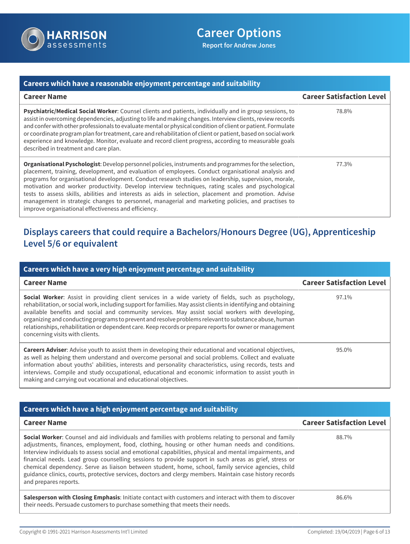

### **Careers which have a reasonable enjoyment percentage and suitability Career Name Career Satisfaction Level Psychiatric/Medical Social Worker**: Counsel clients and patients, individually and in group sessions, to assist in overcoming dependencies, adjusting to life and making changes. Interview clients, review records and confer with other professionals to evaluate mental or physical condition of client or patient. Formulate or coordinate program plan for treatment, care and rehabilitation of client or patient, based on social work experience and knowledge. Monitor, evaluate and record client progress, according to measurable goals described in treatment and care plan. 78.8% **Organisational Pyschologist**: Develop personnel policies, instruments and programmes for the selection, placement, training, development, and evaluation of employees. Conduct organisational analysis and programs for organisational development. Conduct research studies on leadership, supervision, morale, motivation and worker productivity. Develop interview techniques, rating scales and psychological tests to assess skills, abilities and interests as aids in selection, placement and promotion. Advise management in strategic changes to personnel, managerial and marketing policies, and practises to improve organisational effectiveness and efficiency. 77.3%

# **Displays careers that could require a Bachelors/Honours Degree (UG), Apprenticeship Level 5/6 or equivalent**

| Careers which have a very high enjoyment percentage and suitability                                                                                                                                                                                                                                                                                                                                                                                                                                                                                                                       |                                  |
|-------------------------------------------------------------------------------------------------------------------------------------------------------------------------------------------------------------------------------------------------------------------------------------------------------------------------------------------------------------------------------------------------------------------------------------------------------------------------------------------------------------------------------------------------------------------------------------------|----------------------------------|
| <b>Career Name</b>                                                                                                                                                                                                                                                                                                                                                                                                                                                                                                                                                                        | <b>Career Satisfaction Level</b> |
| <b>Social Worker:</b> Assist in providing client services in a wide variety of fields, such as psychology,<br>rehabilitation, or social work, including support for families. May assist clients in identifying and obtaining<br>available benefits and social and community services. May assist social workers with developing,<br>organizing and conducting programs to prevent and resolve problems relevant to substance abuse, human<br>relationships, rehabilitation or dependent care. Keep records or prepare reports for owner or management<br>concerning visits with clients. | 97.1%                            |
| <b>Careers Adviser:</b> Advise youth to assist them in developing their educational and vocational objectives,<br>as well as helping them understand and overcome personal and social problems. Collect and evaluate<br>information about youths' abilities, interests and personality characteristics, using records, tests and<br>interviews. Compile and study occupational, educational and economic information to assist youth in<br>making and carrying out vocational and educational objectives.                                                                                 | 95.0%                            |

| Careers which have a high enjoyment percentage and suitability                                                                                                                                                                                                                                                                                                                                                                                                                                                                                                                                                                                                           |                                  |
|--------------------------------------------------------------------------------------------------------------------------------------------------------------------------------------------------------------------------------------------------------------------------------------------------------------------------------------------------------------------------------------------------------------------------------------------------------------------------------------------------------------------------------------------------------------------------------------------------------------------------------------------------------------------------|----------------------------------|
| <b>Career Name</b>                                                                                                                                                                                                                                                                                                                                                                                                                                                                                                                                                                                                                                                       | <b>Career Satisfaction Level</b> |
| Social Worker: Counsel and aid individuals and families with problems relating to personal and family<br>adjustments, finances, employment, food, clothing, housing or other human needs and conditions.<br>Interview individuals to assess social and emotional capabilities, physical and mental impairments, and<br>financial needs. Lead group counselling sessions to provide support in such areas as grief, stress or<br>chemical dependency. Serve as liaison between student, home, school, family service agencies, child<br>guidance clinics, courts, protective services, doctors and clergy members. Maintain case history records<br>and prepares reports. | 88.7%                            |
| Salesperson with Closing Emphasis: Initiate contact with customers and interact with them to discover<br>their needs. Persuade customers to purchase something that meets their needs.                                                                                                                                                                                                                                                                                                                                                                                                                                                                                   | 86.6%                            |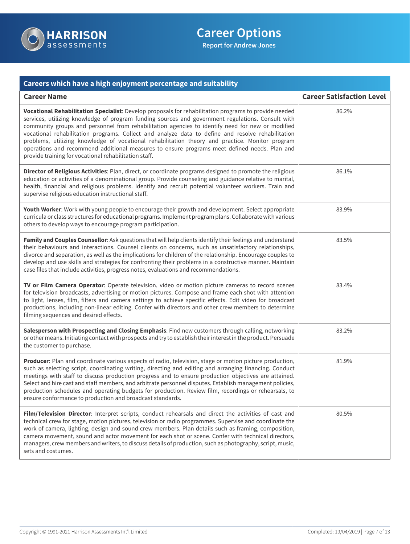

| Careers which have a high enjoyment percentage and suitability                                                                                                                                                                                                                                                                                                                                                                                                                                                                                                                                                                                                                  |                                  |
|---------------------------------------------------------------------------------------------------------------------------------------------------------------------------------------------------------------------------------------------------------------------------------------------------------------------------------------------------------------------------------------------------------------------------------------------------------------------------------------------------------------------------------------------------------------------------------------------------------------------------------------------------------------------------------|----------------------------------|
| <b>Career Name</b>                                                                                                                                                                                                                                                                                                                                                                                                                                                                                                                                                                                                                                                              | <b>Career Satisfaction Level</b> |
| Vocational Rehabilitation Specialist: Develop proposals for rehabilitation programs to provide needed<br>services, utilizing knowledge of program funding sources and government regulations. Consult with<br>community groups and personnel from rehabilitation agencies to identify need for new or modified<br>vocational rehabilitation programs. Collect and analyze data to define and resolve rehabilitation<br>problems, utilizing knowledge of vocational rehabilitation theory and practice. Monitor program<br>operations and recommend additional measures to ensure programs meet defined needs. Plan and<br>provide training for vocational rehabilitation staff. | 86.2%                            |
| Director of Religious Activities: Plan, direct, or coordinate programs designed to promote the religious<br>education or activities of a denominational group. Provide counseling and guidance relative to marital,<br>health, financial and religious problems. Identify and recruit potential volunteer workers. Train and<br>supervise religious education instructional staff.                                                                                                                                                                                                                                                                                              | 86.1%                            |
| Youth Worker: Work with young people to encourage their growth and development. Select appropriate<br>curricula or class structures for educational programs. Implement program plans. Collaborate with various<br>others to develop ways to encourage program participation.                                                                                                                                                                                                                                                                                                                                                                                                   | 83.9%                            |
| Family and Couples Counsellor: Ask questions that will help clients identify their feelings and understand<br>their behaviours and interactions. Counsel clients on concerns, such as unsatisfactory relationships,<br>divorce and separation, as well as the implications for children of the relationship. Encourage couples to<br>develop and use skills and strategies for confronting their problems in a constructive manner. Maintain<br>case files that include activities, progress notes, evaluations and recommendations.                                                                                                                                            | 83.5%                            |
| TV or Film Camera Operator: Operate television, video or motion picture cameras to record scenes<br>for television broadcasts, advertising or motion pictures. Compose and frame each shot with attention<br>to light, lenses, film, filters and camera settings to achieve specific effects. Edit video for broadcast<br>productions, including non-linear editing. Confer with directors and other crew members to determine<br>filming sequences and desired effects.                                                                                                                                                                                                        | 83.4%                            |
| Salesperson with Prospecting and Closing Emphasis: Find new customers through calling, networking<br>or other means. Initiating contact with prospects and try to establish their interest in the product. Persuade<br>the customer to purchase.                                                                                                                                                                                                                                                                                                                                                                                                                                | 83.2%                            |
| Producer: Plan and coordinate various aspects of radio, television, stage or motion picture production,<br>such as selecting script, coordinating writing, directing and editing and arranging financing. Conduct<br>meetings with staff to discuss production progress and to ensure production objectives are attained.<br>Select and hire cast and staff members, and arbitrate personnel disputes. Establish management policies,<br>production schedules and operating budgets for production. Review film, recordings or rehearsals, to<br>ensure conformance to production and broadcast standards.                                                                      | 81.9%                            |
| Film/Television Director: Interpret scripts, conduct rehearsals and direct the activities of cast and<br>technical crew for stage, motion pictures, television or radio programmes. Supervise and coordinate the<br>work of camera, lighting, design and sound crew members. Plan details such as framing, composition,<br>camera movement, sound and actor movement for each shot or scene. Confer with technical directors,<br>managers, crew members and writers, to discuss details of production, such as photography, script, music,<br>sets and costumes.                                                                                                                | 80.5%                            |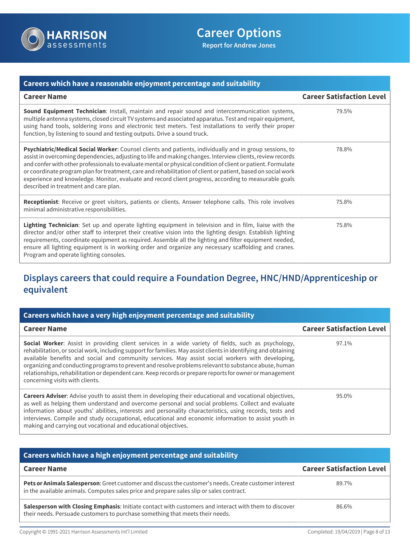

| Careers which have a reasonable enjoyment percentage and suitability                                                                                                                                                                                                                                                                                                                                                                                                                                                                                                                                    |                                  |
|---------------------------------------------------------------------------------------------------------------------------------------------------------------------------------------------------------------------------------------------------------------------------------------------------------------------------------------------------------------------------------------------------------------------------------------------------------------------------------------------------------------------------------------------------------------------------------------------------------|----------------------------------|
| <b>Career Name</b>                                                                                                                                                                                                                                                                                                                                                                                                                                                                                                                                                                                      | <b>Career Satisfaction Level</b> |
| Sound Equipment Technician: Install, maintain and repair sound and intercommunication systems,<br>multiple antenna systems, closed circuit TV systems and associated apparatus. Test and repair equipment,<br>using hand tools, soldering irons and electronic test meters. Test installations to verify their proper<br>function, by listening to sound and testing outputs. Drive a sound truck.                                                                                                                                                                                                      | 79.5%                            |
| Psychiatric/Medical Social Worker: Counsel clients and patients, individually and in group sessions, to<br>assist in overcoming dependencies, adjusting to life and making changes. Interview clients, review records<br>and confer with other professionals to evaluate mental or physical condition of client or patient. Formulate<br>or coordinate program plan for treatment, care and rehabilitation of client or patient, based on social work<br>experience and knowledge. Monitor, evaluate and record client progress, according to measurable goals<br>described in treatment and care plan. | 78.8%                            |
| Receptionist: Receive or greet visitors, patients or clients. Answer telephone calls. This role involves<br>minimal administrative responsibilities.                                                                                                                                                                                                                                                                                                                                                                                                                                                    | 75.8%                            |
| Lighting Technician: Set up and operate lighting equipment in television and in film, liaise with the<br>director and/or other staff to interpret their creative vision into the lighting design. Establish lighting<br>requirements, coordinate equipment as required. Assemble all the lighting and filter equipment needed,<br>ensure all lighting equipment is in working order and organize any necessary scaffolding and cranes.<br>Program and operate lighting consoles.                                                                                                                        | 75.8%                            |

# **Displays careers that could require a Foundation Degree, HNC/HND/Apprenticeship or equivalent**

| Careers which have a very high enjoyment percentage and suitability                                                                                                                                                                                                                                                                                                                                                                                                                                                                                                                       |                                  |
|-------------------------------------------------------------------------------------------------------------------------------------------------------------------------------------------------------------------------------------------------------------------------------------------------------------------------------------------------------------------------------------------------------------------------------------------------------------------------------------------------------------------------------------------------------------------------------------------|----------------------------------|
| <b>Career Name</b>                                                                                                                                                                                                                                                                                                                                                                                                                                                                                                                                                                        | <b>Career Satisfaction Level</b> |
| <b>Social Worker:</b> Assist in providing client services in a wide variety of fields, such as psychology,<br>rehabilitation, or social work, including support for families. May assist clients in identifying and obtaining<br>available benefits and social and community services. May assist social workers with developing,<br>organizing and conducting programs to prevent and resolve problems relevant to substance abuse, human<br>relationships, rehabilitation or dependent care. Keep records or prepare reports for owner or management<br>concerning visits with clients. | 97.1%                            |
| <b>Careers Adviser:</b> Advise youth to assist them in developing their educational and vocational objectives,<br>as well as helping them understand and overcome personal and social problems. Collect and evaluate<br>information about youths' abilities, interests and personality characteristics, using records, tests and<br>interviews. Compile and study occupational, educational and economic information to assist youth in<br>making and carrying out vocational and educational objectives.                                                                                 | 95.0%                            |

| Careers which have a high enjoyment percentage and suitability                                                                                                                                     |                                  |
|----------------------------------------------------------------------------------------------------------------------------------------------------------------------------------------------------|----------------------------------|
| <b>Career Name</b>                                                                                                                                                                                 | <b>Career Satisfaction Level</b> |
| Pets or Animals Salesperson: Greet customer and discuss the customer's needs. Create customer interest<br>in the available animals. Computes sales price and prepare sales slip or sales contract. | 89.7%                            |
| Salesperson with Closing Emphasis: Initiate contact with customers and interact with them to discover<br>their needs. Persuade customers to purchase something that meets their needs.             | 86.6%                            |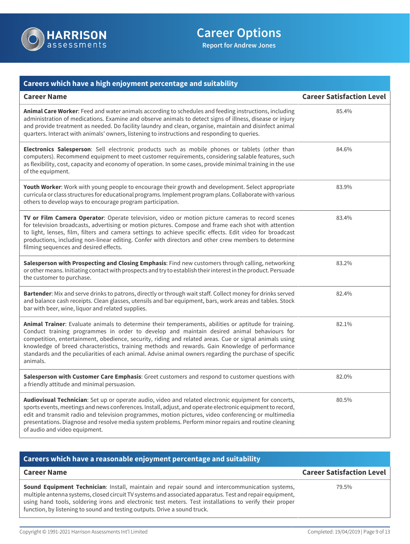

| Careers which have a high enjoyment percentage and suitability                                                                                                                                                                                                                                                                                                                                                                                                                                                                          |                                  |
|-----------------------------------------------------------------------------------------------------------------------------------------------------------------------------------------------------------------------------------------------------------------------------------------------------------------------------------------------------------------------------------------------------------------------------------------------------------------------------------------------------------------------------------------|----------------------------------|
| <b>Career Name</b>                                                                                                                                                                                                                                                                                                                                                                                                                                                                                                                      | <b>Career Satisfaction Level</b> |
| Animal Care Worker: Feed and water animals according to schedules and feeding instructions, including<br>administration of medications. Examine and observe animals to detect signs of illness, disease or injury<br>and provide treatment as needed. Do facility laundry and clean, organise, maintain and disinfect animal<br>quarters. Interact with animals' owners, listening to instructions and responding to queries.                                                                                                           | 85.4%                            |
| Electronics Salesperson: Sell electronic products such as mobile phones or tablets (other than<br>computers). Recommend equipment to meet customer requirements, considering salable features, such<br>as flexibility, cost, capacity and economy of operation. In some cases, provide minimal training in the use<br>of the equipment.                                                                                                                                                                                                 | 84.6%                            |
| Youth Worker: Work with young people to encourage their growth and development. Select appropriate<br>curricula or class structures for educational programs. Implement program plans. Collaborate with various<br>others to develop ways to encourage program participation.                                                                                                                                                                                                                                                           | 83.9%                            |
| TV or Film Camera Operator: Operate television, video or motion picture cameras to record scenes<br>for television broadcasts, advertising or motion pictures. Compose and frame each shot with attention<br>to light, lenses, film, filters and camera settings to achieve specific effects. Edit video for broadcast<br>productions, including non-linear editing. Confer with directors and other crew members to determine<br>filming sequences and desired effects.                                                                | 83.4%                            |
| Salesperson with Prospecting and Closing Emphasis: Find new customers through calling, networking<br>or other means. Initiating contact with prospects and try to establish their interest in the product. Persuade<br>the customer to purchase.                                                                                                                                                                                                                                                                                        | 83.2%                            |
| Bartender: Mix and serve drinks to patrons, directly or through wait staff. Collect money for drinks served<br>and balance cash receipts. Clean glasses, utensils and bar equipment, bars, work areas and tables. Stock<br>bar with beer, wine, liquor and related supplies.                                                                                                                                                                                                                                                            | 82.4%                            |
| Animal Trainer: Evaluate animals to determine their temperaments, abilities or aptitude for training.<br>Conduct training programmes in order to develop and maintain desired animal behaviours for<br>competition, entertainment, obedience, security, riding and related areas. Cue or signal animals using<br>knowledge of breed characteristics, training methods and rewards. Gain Knowledge of performance<br>standards and the peculiarities of each animal. Advise animal owners regarding the purchase of specific<br>animals. | 82.1%                            |
| Salesperson with Customer Care Emphasis: Greet customers and respond to customer questions with<br>a friendly attitude and minimal persuasion.                                                                                                                                                                                                                                                                                                                                                                                          | 82.0%                            |
| Audiovisual Technician: Set up or operate audio, video and related electronic equipment for concerts,<br>sports events, meetings and news conferences. Install, adjust, and operate electronic equipment to record,<br>edit and transmit radio and television programmes, motion pictures, video conferencing or multimedia<br>presentations. Diagnose and resolve media system problems. Perform minor repairs and routine cleaning<br>of audio and video equipment.                                                                   | 80.5%                            |

## **Careers which have a reasonable enjoyment percentage and suitability**

| <b>Career Name</b>                                                                                                                                                                                                                                                                                                                                                                                        | <b>Career Satisfaction Level</b> |
|-----------------------------------------------------------------------------------------------------------------------------------------------------------------------------------------------------------------------------------------------------------------------------------------------------------------------------------------------------------------------------------------------------------|----------------------------------|
| <b>Sound Equipment Technician:</b> Install, maintain and repair sound and intercommunication systems,<br>multiple antenna systems, closed circuit TV systems and associated apparatus. Test and repair equipment,<br>using hand tools, soldering irons and electronic test meters. Test installations to verify their proper<br>function, by listening to sound and testing outputs. Drive a sound truck. | 79.5%                            |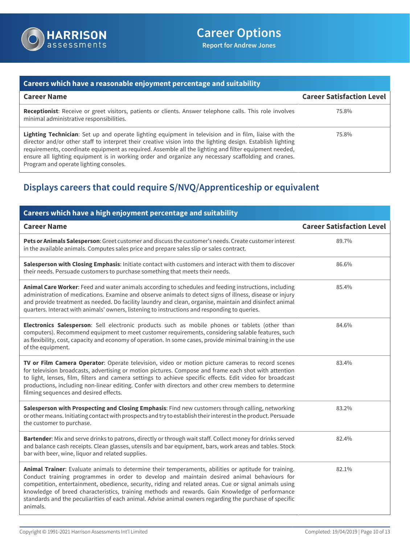

### **Careers which have a reasonable enjoyment percentage and suitability Career Name Career Satisfaction Level Receptionist**: Receive or greet visitors, patients or clients. Answer telephone calls. This role involves minimal administrative responsibilities. 75.8% **Lighting Technician**: Set up and operate lighting equipment in television and in film, liaise with the director and/or other staff to interpret their creative vision into the lighting design. Establish lighting requirements, coordinate equipment as required. Assemble all the lighting and filter equipment needed, ensure all lighting equipment is in working order and organize any necessary scaffolding and cranes. Program and operate lighting consoles. 75.8%

# **Displays careers that could require S/NVQ/Apprenticeship or equivalent**

| Careers which have a high enjoyment percentage and suitability                                                                                                                                                                                                                                                                                                                                                                                                                                                                          |                                  |
|-----------------------------------------------------------------------------------------------------------------------------------------------------------------------------------------------------------------------------------------------------------------------------------------------------------------------------------------------------------------------------------------------------------------------------------------------------------------------------------------------------------------------------------------|----------------------------------|
| <b>Career Name</b>                                                                                                                                                                                                                                                                                                                                                                                                                                                                                                                      | <b>Career Satisfaction Level</b> |
| Pets or Animals Salesperson: Greet customer and discuss the customer's needs. Create customer interest<br>in the available animals. Computes sales price and prepare sales slip or sales contract.                                                                                                                                                                                                                                                                                                                                      | 89.7%                            |
| Salesperson with Closing Emphasis: Initiate contact with customers and interact with them to discover<br>their needs. Persuade customers to purchase something that meets their needs.                                                                                                                                                                                                                                                                                                                                                  | 86.6%                            |
| Animal Care Worker: Feed and water animals according to schedules and feeding instructions, including<br>administration of medications. Examine and observe animals to detect signs of illness, disease or injury<br>and provide treatment as needed. Do facility laundry and clean, organise, maintain and disinfect animal<br>quarters. Interact with animals' owners, listening to instructions and responding to queries.                                                                                                           | 85.4%                            |
| Electronics Salesperson: Sell electronic products such as mobile phones or tablets (other than<br>computers). Recommend equipment to meet customer requirements, considering salable features, such<br>as flexibility, cost, capacity and economy of operation. In some cases, provide minimal training in the use<br>of the equipment.                                                                                                                                                                                                 | 84.6%                            |
| TV or Film Camera Operator: Operate television, video or motion picture cameras to record scenes<br>for television broadcasts, advertising or motion pictures. Compose and frame each shot with attention<br>to light, lenses, film, filters and camera settings to achieve specific effects. Edit video for broadcast<br>productions, including non-linear editing. Confer with directors and other crew members to determine<br>filming sequences and desired effects.                                                                | 83.4%                            |
| Salesperson with Prospecting and Closing Emphasis: Find new customers through calling, networking<br>or other means. Initiating contact with prospects and try to establish their interest in the product. Persuade<br>the customer to purchase.                                                                                                                                                                                                                                                                                        | 83.2%                            |
| Bartender: Mix and serve drinks to patrons, directly or through wait staff. Collect money for drinks served<br>and balance cash receipts. Clean glasses, utensils and bar equipment, bars, work areas and tables. Stock<br>bar with beer, wine, liquor and related supplies.                                                                                                                                                                                                                                                            | 82.4%                            |
| Animal Trainer: Evaluate animals to determine their temperaments, abilities or aptitude for training.<br>Conduct training programmes in order to develop and maintain desired animal behaviours for<br>competition, entertainment, obedience, security, riding and related areas. Cue or signal animals using<br>knowledge of breed characteristics, training methods and rewards. Gain Knowledge of performance<br>standards and the peculiarities of each animal. Advise animal owners regarding the purchase of specific<br>animals. | 82.1%                            |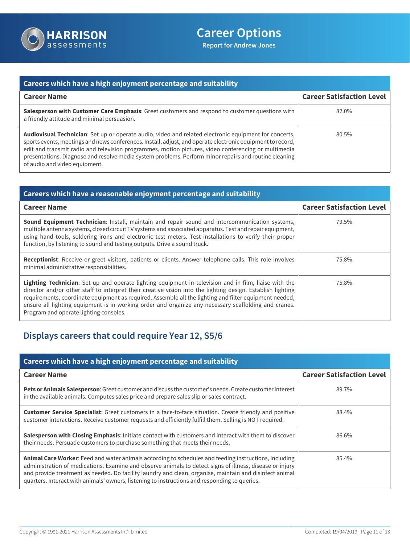

| Careers which have a high enjoyment percentage and suitability                                                                                                                                                                                                                                                                                                                                                                                                        |                                  |
|-----------------------------------------------------------------------------------------------------------------------------------------------------------------------------------------------------------------------------------------------------------------------------------------------------------------------------------------------------------------------------------------------------------------------------------------------------------------------|----------------------------------|
| <b>Career Name</b>                                                                                                                                                                                                                                                                                                                                                                                                                                                    | <b>Career Satisfaction Level</b> |
| Salesperson with Customer Care Emphasis: Greet customers and respond to customer questions with<br>a friendly attitude and minimal persuasion.                                                                                                                                                                                                                                                                                                                        | 82.0%                            |
| Audiovisual Technician: Set up or operate audio, video and related electronic equipment for concerts,<br>sports events, meetings and news conferences. Install, adjust, and operate electronic equipment to record,<br>edit and transmit radio and television programmes, motion pictures, video conferencing or multimedia<br>presentations. Diagnose and resolve media system problems. Perform minor repairs and routine cleaning<br>of audio and video equipment. | 80.5%                            |

| Careers which have a reasonable enjoyment percentage and suitability                                                                                                                                                                                                                                                                                                                                                                                                                    |                                  |
|-----------------------------------------------------------------------------------------------------------------------------------------------------------------------------------------------------------------------------------------------------------------------------------------------------------------------------------------------------------------------------------------------------------------------------------------------------------------------------------------|----------------------------------|
| <b>Career Name</b>                                                                                                                                                                                                                                                                                                                                                                                                                                                                      | <b>Career Satisfaction Level</b> |
| <b>Sound Equipment Technician:</b> Install, maintain and repair sound and intercommunication systems,<br>multiple antenna systems, closed circuit TV systems and associated apparatus. Test and repair equipment,<br>using hand tools, soldering irons and electronic test meters. Test installations to verify their proper<br>function, by listening to sound and testing outputs. Drive a sound truck.                                                                               | 79.5%                            |
| Receptionist: Receive or greet visitors, patients or clients. Answer telephone calls. This role involves<br>minimal administrative responsibilities.                                                                                                                                                                                                                                                                                                                                    | 75.8%                            |
| <b>Lighting Technician:</b> Set up and operate lighting equipment in television and in film, liaise with the<br>director and/or other staff to interpret their creative vision into the lighting design. Establish lighting<br>requirements, coordinate equipment as required. Assemble all the lighting and filter equipment needed,<br>ensure all lighting equipment is in working order and organize any necessary scaffolding and cranes.<br>Program and operate lighting consoles. | 75.8%                            |

# **Displays careers that could require Year 12, S5/6**

| Careers which have a high enjoyment percentage and suitability                                                                                                                                                                                                                                                                                                                                                                |                                  |
|-------------------------------------------------------------------------------------------------------------------------------------------------------------------------------------------------------------------------------------------------------------------------------------------------------------------------------------------------------------------------------------------------------------------------------|----------------------------------|
| <b>Career Name</b>                                                                                                                                                                                                                                                                                                                                                                                                            | <b>Career Satisfaction Level</b> |
| Pets or Animals Salesperson: Greet customer and discuss the customer's needs. Create customer interest<br>in the available animals. Computes sales price and prepare sales slip or sales contract.                                                                                                                                                                                                                            | 89.7%                            |
| <b>Customer Service Specialist:</b> Greet customers in a face-to-face situation. Create friendly and positive<br>customer interactions. Receive customer requests and efficiently fulfill them. Selling is NOT required.                                                                                                                                                                                                      | 88.4%                            |
| Salesperson with Closing Emphasis: Initiate contact with customers and interact with them to discover<br>their needs. Persuade customers to purchase something that meets their needs.                                                                                                                                                                                                                                        | 86.6%                            |
| Animal Care Worker: Feed and water animals according to schedules and feeding instructions, including<br>administration of medications. Examine and observe animals to detect signs of illness, disease or injury<br>and provide treatment as needed. Do facility laundry and clean, organise, maintain and disinfect animal<br>quarters. Interact with animals' owners, listening to instructions and responding to queries. | 85.4%                            |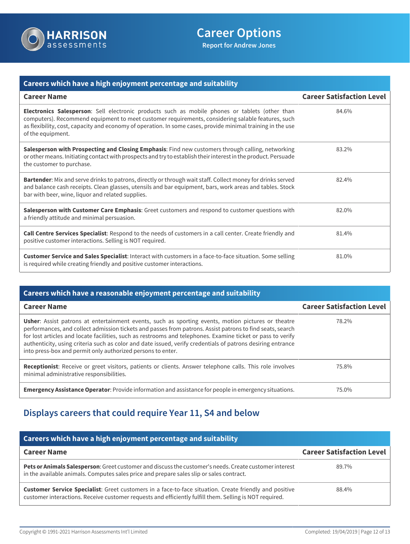

| <b>Careers which have a high enjoyment percentage and suitability</b>                                                                                                                                                                                                                                                                          |                                  |
|------------------------------------------------------------------------------------------------------------------------------------------------------------------------------------------------------------------------------------------------------------------------------------------------------------------------------------------------|----------------------------------|
| <b>Career Name</b>                                                                                                                                                                                                                                                                                                                             | <b>Career Satisfaction Level</b> |
| <b>Electronics Salesperson:</b> Sell electronic products such as mobile phones or tablets (other than<br>computers). Recommend equipment to meet customer requirements, considering salable features, such<br>as flexibility, cost, capacity and economy of operation. In some cases, provide minimal training in the use<br>of the equipment. | 84.6%                            |
| Salesperson with Prospecting and Closing Emphasis: Find new customers through calling, networking<br>or other means. Initiating contact with prospects and try to establish their interest in the product. Persuade<br>the customer to purchase.                                                                                               | 83.2%                            |
| Bartender: Mix and serve drinks to patrons, directly or through wait staff. Collect money for drinks served<br>and balance cash receipts. Clean glasses, utensils and bar equipment, bars, work areas and tables. Stock<br>bar with beer, wine, liquor and related supplies.                                                                   | 82.4%                            |
| Salesperson with Customer Care Emphasis: Greet customers and respond to customer questions with<br>a friendly attitude and minimal persuasion.                                                                                                                                                                                                 | 82.0%                            |
| Call Centre Services Specialist: Respond to the needs of customers in a call center. Create friendly and<br>positive customer interactions. Selling is NOT required.                                                                                                                                                                           | 81.4%                            |
| Customer Service and Sales Specialist: Interact with customers in a face-to-face situation. Some selling<br>is required while creating friendly and positive customer interactions.                                                                                                                                                            | 81.0%                            |

| Careers which have a reasonable enjoyment percentage and suitability                                                                                                                                                                                                                                                                                                                                                                                                                                                |                                  |
|---------------------------------------------------------------------------------------------------------------------------------------------------------------------------------------------------------------------------------------------------------------------------------------------------------------------------------------------------------------------------------------------------------------------------------------------------------------------------------------------------------------------|----------------------------------|
| <b>Career Name</b>                                                                                                                                                                                                                                                                                                                                                                                                                                                                                                  | <b>Career Satisfaction Level</b> |
| <b>Usher:</b> Assist patrons at entertainment events, such as sporting events, motion pictures or theatre<br>performances, and collect admission tickets and passes from patrons. Assist patrons to find seats, search<br>for lost articles and locate facilities, such as restrooms and telephones. Examine ticket or pass to verify<br>authenticity, using criteria such as color and date issued, verify credentials of patrons desiring entrance<br>into press-box and permit only authorized persons to enter. | 78.2%                            |
| Receptionist: Receive or greet visitors, patients or clients. Answer telephone calls. This role involves<br>minimal administrative responsibilities.                                                                                                                                                                                                                                                                                                                                                                | 75.8%                            |
| <b>Emergency Assistance Operator:</b> Provide information and assistance for people in emergency situations.                                                                                                                                                                                                                                                                                                                                                                                                        | 75.0%                            |

# **Displays careers that could require Year 11, S4 and below**

| Careers which have a high enjoyment percentage and suitability                                                                                                                                                           |                                  |
|--------------------------------------------------------------------------------------------------------------------------------------------------------------------------------------------------------------------------|----------------------------------|
| <b>Career Name</b>                                                                                                                                                                                                       | <b>Career Satisfaction Level</b> |
| Pets or Animals Salesperson: Greet customer and discuss the customer's needs. Create customer interest<br>in the available animals. Computes sales price and prepare sales slip or sales contract.                       | 89.7%                            |
| <b>Customer Service Specialist:</b> Greet customers in a face-to-face situation. Create friendly and positive<br>customer interactions. Receive customer requests and efficiently fulfill them. Selling is NOT required. | 88.4%                            |